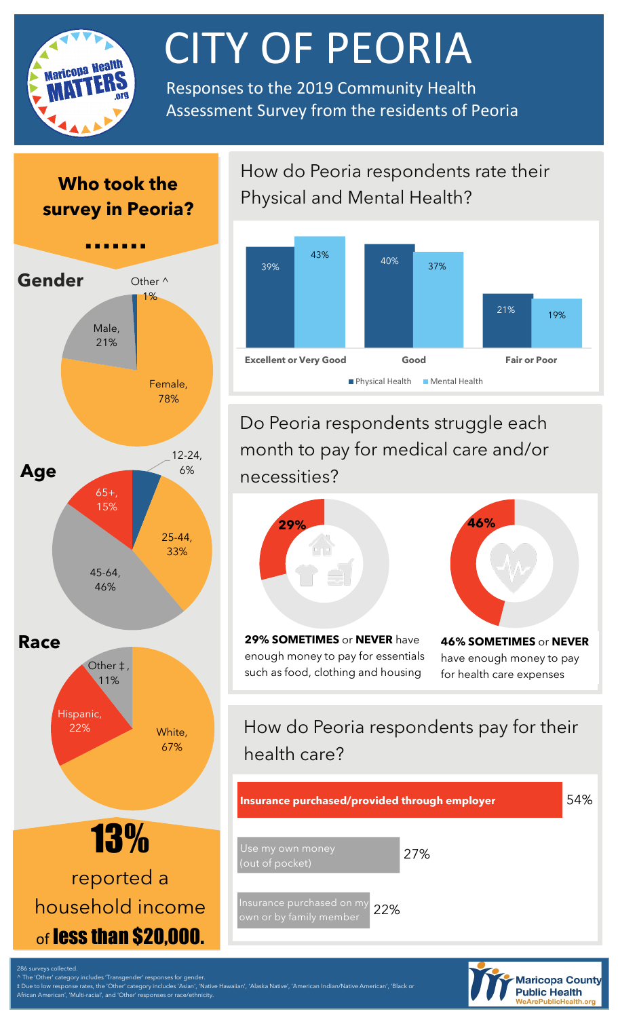

# **CITY OF PEORIA**<br>Responses to the 2019 Community Health

Assessment Survey from the residents of Peoria

# **Who took the survey in Peoria?**



#### Goodyear. How do Peoria respondents rate their Physical and Mental Health?



Do Peoria respondents struggle each month to pay for medical care and/or necessities?



enough money to pay for essentials such as food, clothing and housing

**46% SOMETIMES** or **NEVER**  have enough money to pay for health care expenses

# How do Peoria respondents pay for their health care?